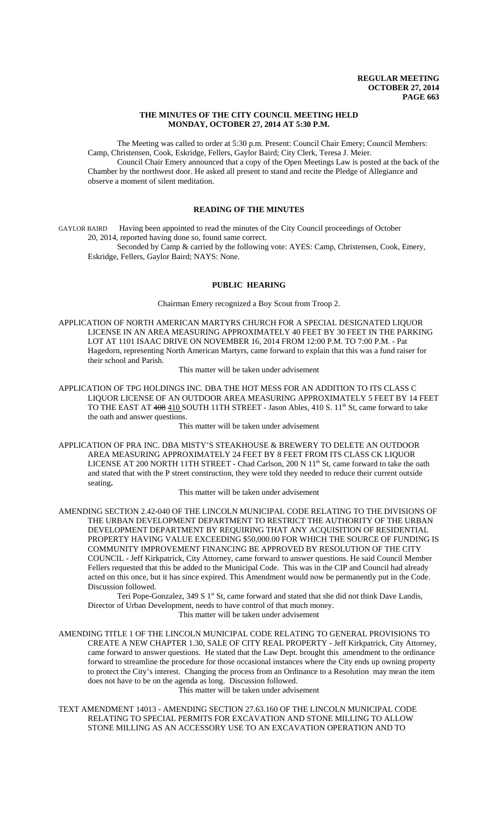### **THE MINUTES OF THE CITY COUNCIL MEETING HELD MONDAY, OCTOBER 27, 2014 AT 5:30 P.M.**

The Meeting was called to order at 5:30 p.m. Present: Council Chair Emery; Council Members: Camp, Christensen, Cook, Eskridge, Fellers, Gaylor Baird; City Clerk, Teresa J. Meier. Council Chair Emery announced that a copy of the Open Meetings Law is posted at the back of the Chamber by the northwest door. He asked all present to stand and recite the Pledge of Allegiance and observe a moment of silent meditation.

# **READING OF THE MINUTES**

GAYLOR BAIRD Having been appointed to read the minutes of the City Council proceedings of October 20, 2014, reported having done so, found same correct.

Seconded by Camp & carried by the following vote: AYES: Camp, Christensen, Cook, Emery, Eskridge, Fellers, Gaylor Baird; NAYS: None.

## **PUBLIC HEARING**

Chairman Emery recognized a Boy Scout from Troop 2.

APPLICATION OF NORTH AMERICAN MARTYRS CHURCH FOR A SPECIAL DESIGNATED LIQUOR LICENSE IN AN AREA MEASURING APPROXIMATELY 40 FEET BY 30 FEET IN THE PARKING LOT AT 1101 ISAAC DRIVE ON NOVEMBER 16, 2014 FROM 12:00 P.M. TO 7:00 P.M. - Pat Hagedorn, representing North American Martyrs, came forward to explain that this was a fund raiser for their school and Parish.

This matter will be taken under advisement

APPLICATION OF TPG HOLDINGS INC. DBA THE HOT MESS FOR AN ADDITION TO ITS CLASS C LIQUOR LICENSE OF AN OUTDOOR AREA MEASURING APPROXIMATELY 5 FEET BY 14 FEET TO THE EAST AT 408 410 SOUTH 11TH STREET - Jason Ables, 410 S. 11<sup>th</sup> St, came forward to take the oath and answer questions.

This matter will be taken under advisement

APPLICATION OF PRA INC. DBA MISTY'S STEAKHOUSE & BREWERY TO DELETE AN OUTDOOR AREA MEASURING APPROXIMATELY 24 FEET BY 8 FEET FROM ITS CLASS CK LIQUOR LICENSE AT 200 NORTH 11TH STREET - Chad Carlson, 200 N 11<sup>th</sup> St, came forward to take the oath and stated that with the P street construction, they were told they needed to reduce their current outside seating**.**

This matter will be taken under advisement

AMENDING SECTION 2.42-040 OF THE LINCOLN MUNICIPAL CODE RELATING TO THE DIVISIONS OF THE URBAN DEVELOPMENT DEPARTMENT TO RESTRICT THE AUTHORITY OF THE URBAN DEVELOPMENT DEPARTMENT BY REQUIRING THAT ANY ACQUISITION OF RESIDENTIAL PROPERTY HAVING VALUE EXCEEDING \$50,000.00 FOR WHICH THE SOURCE OF FUNDING IS COMMUNITY IMPROVEMENT FINANCING BE APPROVED BY RESOLUTION OF THE CITY COUNCIL - Jeff Kirkpatrick, City Attorney, came forward to answer questions. He said Council Member Fellers requested that this be added to the Municipal Code. This was in the CIP and Council had already acted on this once, but it has since expired. This Amendment would now be permanently put in the Code. Discussion followed.

Teri Pope-Gonzalez, 349 S 1<sup>st</sup> St, came forward and stated that she did not think Dave Landis, Director of Urban Development, needs to have control of that much money.

This matter will be taken under advisement

AMENDING TITLE 1 OF THE LINCOLN MUNICIPAL CODE RELATING TO GENERAL PROVISIONS TO CREATE A NEW CHAPTER 1.30, SALE OF CITY REAL PROPERTY - Jeff Kirkpatrick, City Attorney, came forward to answer questions. He stated that the Law Dept. brought this amendment to the ordinance forward to streamline the procedure for those occasional instances where the City ends up owning property to protect the City's interest. Changing the process from an Ordinance to a Resolution may mean the item does not have to be on the agenda as long. Discussion followed.

This matter will be taken under advisement

TEXT AMENDMENT 14013 - AMENDING SECTION 27.63.160 OF THE LINCOLN MUNICIPAL CODE RELATING TO SPECIAL PERMITS FOR EXCAVATION AND STONE MILLING TO ALLOW STONE MILLING AS AN ACCESSORY USE TO AN EXCAVATION OPERATION AND TO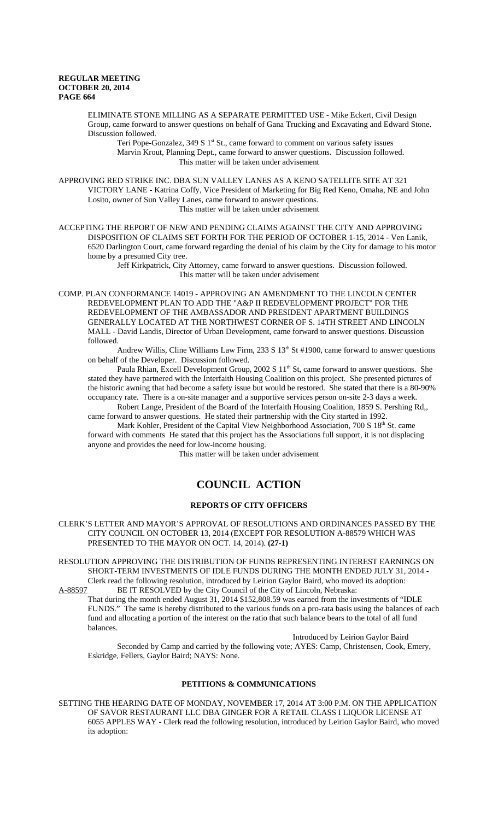ELIMINATE STONE MILLING AS A SEPARATE PERMITTED USE - Mike Eckert, Civil Design Group, came forward to answer questions on behalf of Gana Trucking and Excavating and Edward Stone. Discussion followed.

Teri Pope-Gonzalez,  $349 S 1<sup>st</sup> St.,$  came forward to comment on various safety issues Marvin Krout, Planning Dept., came forward to answer questions. Discussion followed. This matter will be taken under advisement

APPROVING RED STRIKE INC. DBA SUN VALLEY LANES AS A KENO SATELLITE SITE AT 321 VICTORY LANE - Katrina Coffy, Vice President of Marketing for Big Red Keno, Omaha, NE and John Losito, owner of Sun Valley Lanes, came forward to answer questions. This matter will be taken under advisement

ACCEPTING THE REPORT OF NEW AND PENDING CLAIMS AGAINST THE CITY AND APPROVING DISPOSITION OF CLAIMS SET FORTH FOR THE PERIOD OF OCTOBER 1-15, 2014 - Ven Lanik, 6520 Darlington Court, came forward regarding the denial of his claim by the City for damage to his motor home by a presumed City tree.

Jeff Kirkpatrick, City Attorney, came forward to answer questions. Discussion followed. This matter will be taken under advisement

COMP. PLAN CONFORMANCE 14019 - APPROVING AN AMENDMENT TO THE LINCOLN CENTER REDEVELOPMENT PLAN TO ADD THE "A&P II REDEVELOPMENT PROJECT" FOR THE REDEVELOPMENT OF THE AMBASSADOR AND PRESIDENT APARTMENT BUILDINGS GENERALLY LOCATED AT THE NORTHWEST CORNER OF S. 14TH STREET AND LINCOLN MALL - David Landis, Director of Urban Development, came forward to answer questions. Discussion followed.

Andrew Willis, Cline Williams Law Firm, 233 S 13<sup>th</sup> St #1900, came forward to answer questions on behalf of the Developer. Discussion followed.

Paula Rhian, Excell Development Group, 2002 S  $11<sup>th</sup>$  St, came forward to answer questions. She stated they have partnered with the Interfaith Housing Coalition on this project. She presented pictures of the historic awning that had become a safety issue but would be restored. She stated that there is a 80-90% occupancy rate. There is a on-site manager and a supportive services person on-site 2-3 days a week.

Robert Lange, President of the Board of the Interfaith Housing Coalition, 1859 S. Pershing Rd,, came forward to answer questions. He stated their partnership with the City started in 1992.

Mark Kohler, President of the Capital View Neighborhood Association, 700 S 18<sup>th</sup> St. came forward with comments He stated that this project has the Associations full support, it is not displacing anyone and provides the need for low-income housing.

This matter will be taken under advisement

# **COUNCIL ACTION**

## **REPORTS OF CITY OFFICERS**

CLERK'S LETTER AND MAYOR'S APPROVAL OF RESOLUTIONS AND ORDINANCES PASSED BY THE CITY COUNCIL ON OCTOBER 13, 2014 (EXCEPT FOR RESOLUTION A-88579 WHICH WAS PRESENTED TO THE MAYOR ON OCT. 14, 2014). **(27-1)** 

RESOLUTION APPROVING THE DISTRIBUTION OF FUNDS REPRESENTING INTEREST EARNINGS ON SHORT-TERM INVESTMENTS OF IDLE FUNDS DURING THE MONTH ENDED JULY 31, 2014 - Clerk read the following resolution, introduced by Leirion Gaylor Baird, who moved its adoption:

A-88597 BE IT RESOLVED by the City Council of the City of Lincoln, Nebraska: That during the month ended August 31, 2014 \$152,808.59 was earned from the investments of "IDLE FUNDS." The same is hereby distributed to the various funds on a pro-rata basis using the balances of each fund and allocating a portion of the interest on the ratio that such balance bears to the total of all fund balances.

Introduced by Leirion Gaylor Baird Seconded by Camp and carried by the following vote; AYES: Camp, Christensen, Cook, Emery, Eskridge, Fellers, Gaylor Baird; NAYS: None.

#### **PETITIONS & COMMUNICATIONS**

SETTING THE HEARING DATE OF MONDAY, NOVEMBER 17, 2014 AT 3:00 P.M. ON THE APPLICATION OF SAVOR RESTAURANT LLC DBA GINGER FOR A RETAIL CLASS I LIQUOR LICENSE AT 6055 APPLES WAY - Clerk read the following resolution, introduced by Leirion Gaylor Baird, who moved its adoption: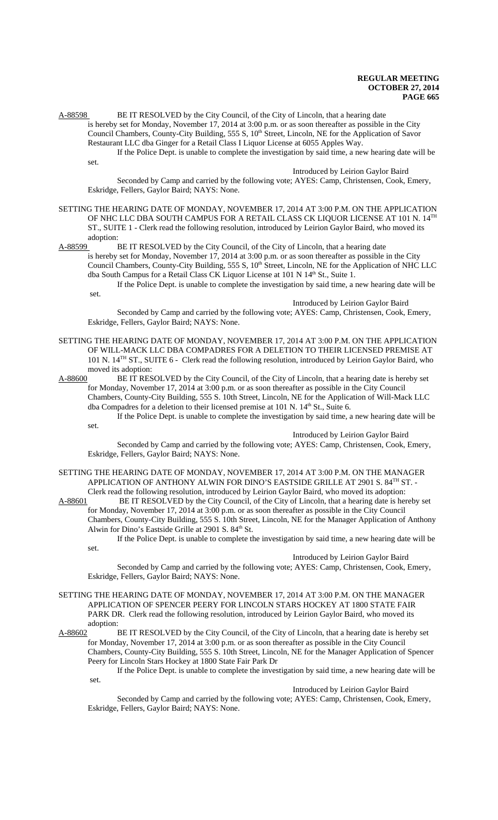A-88598 BE IT RESOLVED by the City Council, of the City of Lincoln, that a hearing date is hereby set for Monday, November 17, 2014 at 3:00 p.m. or as soon thereafter as possible in the City Council Chambers, County-City Building, 555 S, 10<sup>th</sup> Street, Lincoln, NE for the Application of Savor

Restaurant LLC dba Ginger for a Retail Class I Liquor License at 6055 Apples Way. If the Police Dept. is unable to complete the investigation by said time, a new hearing date will be

set.

Introduced by Leirion Gaylor Baird

Seconded by Camp and carried by the following vote; AYES: Camp, Christensen, Cook, Emery, Eskridge, Fellers, Gaylor Baird; NAYS: None.

SETTING THE HEARING DATE OF MONDAY, NOVEMBER 17, 2014 AT 3:00 P.M. ON THE APPLICATION OF NHC LLC DBA SOUTH CAMPUS FOR A RETAIL CLASS CK LIQUOR LICENSE AT 101 N. 14TH ST., SUITE 1 - Clerk read the following resolution, introduced by Leirion Gaylor Baird, who moved its adoption:

# A-88599 BE IT RESOLVED by the City Council, of the City of Lincoln, that a hearing date

is hereby set for Monday, November 17, 2014 at 3:00 p.m. or as soon thereafter as possible in the City Council Chambers, County-City Building, 555 S, 10<sup>th</sup> Street, Lincoln, NE for the Application of NHC LLC dba South Campus for a Retail Class CK Liquor License at 101 N 14<sup>th</sup> St., Suite 1.

If the Police Dept. is unable to complete the investigation by said time, a new hearing date will be set.

Introduced by Leirion Gaylor Baird

Seconded by Camp and carried by the following vote; AYES: Camp, Christensen, Cook, Emery, Eskridge, Fellers, Gaylor Baird; NAYS: None.

SETTING THE HEARING DATE OF MONDAY, NOVEMBER 17, 2014 AT 3:00 P.M. ON THE APPLICATION OF WILL-MACK LLC DBA COMPADRES FOR A DELETION TO THEIR LICENSED PREMISE AT 101 N. 14TH ST., SUITE 6 - Clerk read the following resolution, introduced by Leirion Gaylor Baird, who

moved its adoption:<br>A-88600 BE IT RES BE IT RESOLVED by the City Council, of the City of Lincoln, that a hearing date is hereby set for Monday, November 17, 2014 at 3:00 p.m. or as soon thereafter as possible in the City Council Chambers, County-City Building, 555 S. 10th Street, Lincoln, NE for the Application of Will-Mack LLC dba Compadres for a deletion to their licensed premise at 101 N. 14<sup>th</sup> St., Suite 6.

If the Police Dept. is unable to complete the investigation by said time, a new hearing date will be set.

Introduced by Leirion Gaylor Baird

Seconded by Camp and carried by the following vote; AYES: Camp, Christensen, Cook, Emery, Eskridge, Fellers, Gaylor Baird; NAYS: None.

SETTING THE HEARING DATE OF MONDAY, NOVEMBER 17, 2014 AT 3:00 P.M. ON THE MANAGER APPLICATION OF ANTHONY ALWIN FOR DINO'S EASTSIDE GRILLE AT 2901 S. 84<sup>TH</sup> ST. -Clerk read the following resolution, introduced by Leirion Gaylor Baird, who moved its adoption:

A-88601 BE IT RESOLVED by the City Council, of the City of Lincoln, that a hearing date is hereby set for Monday, November 17, 2014 at 3:00 p.m. or as soon thereafter as possible in the City Council Chambers, County-City Building, 555 S. 10th Street, Lincoln, NE for the Manager Application of Anthony Alwin for Dino's Eastside Grille at  $2901$  S.  $84<sup>th</sup>$  St.

If the Police Dept. is unable to complete the investigation by said time, a new hearing date will be set.

#### Introduced by Leirion Gaylor Baird

Seconded by Camp and carried by the following vote; AYES: Camp, Christensen, Cook, Emery, Eskridge, Fellers, Gaylor Baird; NAYS: None.

- SETTING THE HEARING DATE OF MONDAY, NOVEMBER 17, 2014 AT 3:00 P.M. ON THE MANAGER APPLICATION OF SPENCER PEERY FOR LINCOLN STARS HOCKEY AT 1800 STATE FAIR PARK DR. Clerk read the following resolution, introduced by Leirion Gaylor Baird, who moved its adoption:
- A-88602 BE IT RESOLVED by the City Council, of the City of Lincoln, that a hearing date is hereby set for Monday, November 17, 2014 at 3:00 p.m. or as soon thereafter as possible in the City Council Chambers, County-City Building, 555 S. 10th Street, Lincoln, NE for the Manager Application of Spencer Peery for Lincoln Stars Hockey at 1800 State Fair Park Dr

If the Police Dept. is unable to complete the investigation by said time, a new hearing date will be set.

## Introduced by Leirion Gaylor Baird

Seconded by Camp and carried by the following vote; AYES: Camp, Christensen, Cook, Emery, Eskridge, Fellers, Gaylor Baird; NAYS: None.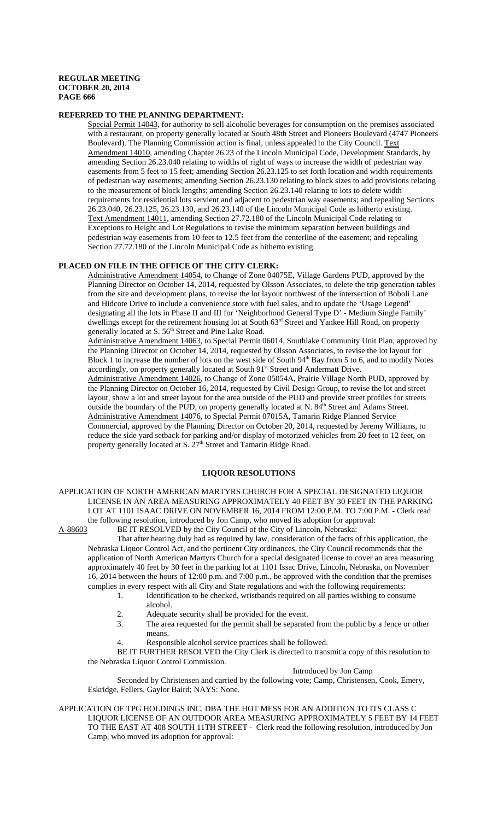## **REFERRED TO THE PLANNING DEPARTMENT:**

Special Permit 14043, for authority to sell alcoholic beverages for consumption on the premises associated with a restaurant, on property generally located at South 48th Street and Pioneers Boulevard (4747 Pioneers Boulevard). The Planning Commission action is final, unless appealed to the City Council. Text Amendment 14010, amending Chapter 26.23 of the Lincoln Municipal Code, Development Standards, by amending Section 26.23.040 relating to widths of right of ways to increase the width of pedestrian way easements from 5 feet to 15 feet; amending Section 26.23.125 to set forth location and width requirements of pedestrian way easements; amending Section 26.23.130 relating to block sizes to add provisions relating to the measurement of block lengths; amending Section 26.23.140 relating to lots to delete width requirements for residential lots servient and adjacent to pedestrian way easements; and repealing Sections 26.23.040, 26.23.125, 26.23.130, and 26.23.140 of the Lincoln Municipal Code as hitherto existing. Text Amendment 14011, amending Section 27.72.180 of the Lincoln Municipal Code relating to Exceptions to Height and Lot Regulations to revise the minimum separation between buildings and pedestrian way easements from 10 feet to 12.5 feet from the centerline of the easement; and repealing Section 27.72.180 of the Lincoln Municipal Code as hitherto existing.

## **PLACED ON FILE IN THE OFFICE OF THE CITY CLERK:**

Administrative Amendment 14054, to Change of Zone 04075E, Village Gardens PUD, approved by the Planning Director on October 14, 2014, requested by Olsson Associates, to delete the trip generation tables from the site and development plans, to revise the lot layout northwest of the intersection of Boboli Lane and Hidcote Drive to include a convenience store with fuel sales, and to update the 'Usage Legend' designating all the lots in Phase II and III for 'Neighborhood General Type D' - Medium Single Family' dwellings except for the retirement housing lot at South 63<sup>rd</sup> Street and Yankee Hill Road, on property generally located at S. 56<sup>th</sup> Street and Pine Lake Road.

Administrative Amendment 14063, to Special Permit 06014, Southlake Community Unit Plan, approved by the Planning Director on October 14, 2014, requested by Olsson Associates, to revise the lot layout for Block 1 to increase the number of lots on the west side of South 94<sup>th</sup> Bay from 5 to 6, and to modify Notes accordingly, on property generally located at South 91<sup>st</sup> Street and Andermatt Drive.

Administrative Amendment 14026, to Change of Zone 05054A, Prairie Village North PUD, approved by the Planning Director on October 16, 2014, requested by Civil Design Group, to revise the lot and street layout, show a lot and street layout for the area outside of the PUD and provide street profiles for streets outside the boundary of the PUD, on property generally located at N. 84<sup>th</sup> Street and Adams Street. Administrative Amendment 14076, to Special Permit 07015A, Tamarin Ridge Planned Service Commercial, approved by the Planning Director on October 20, 2014, requested by Jeremy Williams, to reduce the side yard setback for parking and/or display of motorized vehicles from 20 feet to 12 feet, on property generally located at S. 27<sup>th</sup> Street and Tamarin Ridge Road.

## **LIQUOR RESOLUTIONS**

### APPLICATION OF NORTH AMERICAN MARTYRS CHURCH FOR A SPECIAL DESIGNATED LIQUOR LICENSE IN AN AREA MEASURING APPROXIMATELY 40 FEET BY 30 FEET IN THE PARKING LOT AT 1101 ISAAC DRIVE ON NOVEMBER 16, 2014 FROM 12:00 P.M. TO 7:00 P.M. - Clerk read the following resolution, introduced by Jon Camp, who moved its adoption for approval:

A-88603 BE IT RESOLVED by the City Council of the City of Lincoln, Nebraska:

That after hearing duly had as required by law, consideration of the facts of this application, the Nebraska Liquor Control Act, and the pertinent City ordinances, the City Council recommends that the application of North American Martyrs Church for a special designated license to cover an area measuring approximately 40 feet by 30 feet in the parking lot at 1101 Issac Drive, Lincoln, Nebraska, on November 16, 2014 between the hours of 12:00 p.m. and 7:00 p.m., be approved with the condition that the premises complies in every respect with all City and State regulations and with the following requirements:

- 1. Identification to be checked, wristbands required on all parties wishing to consume alcohol.
- 
- 2. Adequate security shall be provided for the event.<br>3. The area requested for the permit shall be separate The area requested for the permit shall be separated from the public by a fence or other means.
	- Responsible alcohol service practices shall be followed.

BE IT FURTHER RESOLVED the City Clerk is directed to transmit a copy of this resolution to the Nebraska Liquor Control Commission.

Introduced by Jon Camp

Seconded by Christensen and carried by the following vote; Camp, Christensen, Cook, Emery, Eskridge, Fellers, Gaylor Baird; NAYS: None.

APPLICATION OF TPG HOLDINGS INC. DBA THE HOT MESS FOR AN ADDITION TO ITS CLASS C LIQUOR LICENSE OF AN OUTDOOR AREA MEASURING APPROXIMATELY 5 FEET BY 14 FEET TO THE EAST AT 408 SOUTH 11TH STREET - Clerk read the following resolution, introduced by Jon Camp, who moved its adoption for approval: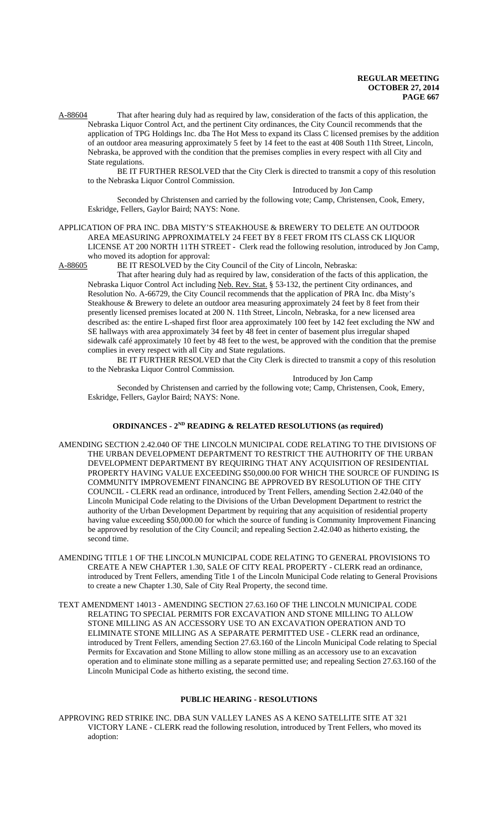A-88604 That after hearing duly had as required by law, consideration of the facts of this application, the Nebraska Liquor Control Act, and the pertinent City ordinances, the City Council recommends that the application of TPG Holdings Inc. dba The Hot Mess to expand its Class C licensed premises by the addition of an outdoor area measuring approximately 5 feet by 14 feet to the east at 408 South 11th Street, Lincoln, Nebraska, be approved with the condition that the premises complies in every respect with all City and State regulations.

BE IT FURTHER RESOLVED that the City Clerk is directed to transmit a copy of this resolution to the Nebraska Liquor Control Commission.

Introduced by Jon Camp

Seconded by Christensen and carried by the following vote; Camp, Christensen, Cook, Emery, Eskridge, Fellers, Gaylor Baird; NAYS: None.

### APPLICATION OF PRA INC. DBA MISTY'S STEAKHOUSE & BREWERY TO DELETE AN OUTDOOR AREA MEASURING APPROXIMATELY 24 FEET BY 8 FEET FROM ITS CLASS CK LIQUOR LICENSE AT 200 NORTH 11TH STREET - Clerk read the following resolution, introduced by Jon Camp,

who moved its adoption for approval:

A-88605 BE IT RESOLVED by the City Council of the City of Lincoln, Nebraska:

That after hearing duly had as required by law, consideration of the facts of this application, the Nebraska Liquor Control Act including Neb. Rev. Stat. § 53-132, the pertinent City ordinances, and Resolution No. A-66729, the City Council recommends that the application of PRA Inc. dba Misty's Steakhouse & Brewery to delete an outdoor area measuring approximately 24 feet by 8 feet from their presently licensed premises located at 200 N. 11th Street, Lincoln, Nebraska, for a new licensed area described as: the entire L-shaped first floor area approximately 100 feet by 142 feet excluding the NW and SE hallways with area approximately 34 feet by 48 feet in center of basement plus irregular shaped sidewalk café approximately 10 feet by 48 feet to the west, be approved with the condition that the premise complies in every respect with all City and State regulations.

BE IT FURTHER RESOLVED that the City Clerk is directed to transmit a copy of this resolution to the Nebraska Liquor Control Commission.

Introduced by Jon Camp

Seconded by Christensen and carried by the following vote; Camp, Christensen, Cook, Emery, Eskridge, Fellers, Gaylor Baird; NAYS: None.

## **ORDINANCES - 2ND READING & RELATED RESOLUTIONS (as required)**

- AMENDING SECTION 2.42.040 OF THE LINCOLN MUNICIPAL CODE RELATING TO THE DIVISIONS OF THE URBAN DEVELOPMENT DEPARTMENT TO RESTRICT THE AUTHORITY OF THE URBAN DEVELOPMENT DEPARTMENT BY REQUIRING THAT ANY ACQUISITION OF RESIDENTIAL PROPERTY HAVING VALUE EXCEEDING \$50,000.00 FOR WHICH THE SOURCE OF FUNDING IS COMMUNITY IMPROVEMENT FINANCING BE APPROVED BY RESOLUTION OF THE CITY COUNCIL - CLERK read an ordinance, introduced by Trent Fellers, amending Section 2.42.040 of the Lincoln Municipal Code relating to the Divisions of the Urban Development Department to restrict the authority of the Urban Development Department by requiring that any acquisition of residential property having value exceeding \$50,000.00 for which the source of funding is Community Improvement Financing be approved by resolution of the City Council; and repealing Section 2.42.040 as hitherto existing, the second time.
- AMENDING TITLE 1 OF THE LINCOLN MUNICIPAL CODE RELATING TO GENERAL PROVISIONS TO CREATE A NEW CHAPTER 1.30, SALE OF CITY REAL PROPERTY - CLERK read an ordinance, introduced by Trent Fellers, amending Title 1 of the Lincoln Municipal Code relating to General Provisions to create a new Chapter 1.30, Sale of City Real Property, the second time.
- TEXT AMENDMENT 14013 AMENDING SECTION 27.63.160 OF THE LINCOLN MUNICIPAL CODE RELATING TO SPECIAL PERMITS FOR EXCAVATION AND STONE MILLING TO ALLOW STONE MILLING AS AN ACCESSORY USE TO AN EXCAVATION OPERATION AND TO ELIMINATE STONE MILLING AS A SEPARATE PERMITTED USE - CLERK read an ordinance, introduced by Trent Fellers, amending Section 27.63.160 of the Lincoln Municipal Code relating to Special Permits for Excavation and Stone Milling to allow stone milling as an accessory use to an excavation operation and to eliminate stone milling as a separate permitted use; and repealing Section 27.63.160 of the Lincoln Municipal Code as hitherto existing, the second time.

## **PUBLIC HEARING - RESOLUTIONS**

APPROVING RED STRIKE INC. DBA SUN VALLEY LANES AS A KENO SATELLITE SITE AT 321 VICTORY LANE - CLERK read the following resolution, introduced by Trent Fellers, who moved its adoption: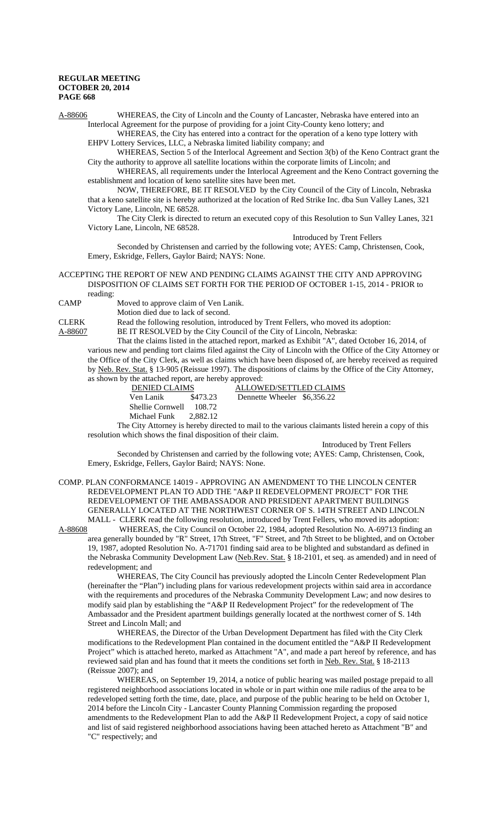A-88606 WHEREAS, the City of Lincoln and the County of Lancaster, Nebraska have entered into an Interlocal Agreement for the purpose of providing for a joint City-County keno lottery; and

WHEREAS, the City has entered into a contract for the operation of a keno type lottery with EHPV Lottery Services, LLC, a Nebraska limited liability company; and

WHEREAS, Section 5 of the Interlocal Agreement and Section 3(b) of the Keno Contract grant the City the authority to approve all satellite locations within the corporate limits of Lincoln; and

WHEREAS, all requirements under the Interlocal Agreement and the Keno Contract governing the establishment and location of keno satellite sites have been met.

NOW, THEREFORE, BE IT RESOLVED by the City Council of the City of Lincoln, Nebraska that a keno satellite site is hereby authorized at the location of Red Strike Inc. dba Sun Valley Lanes, 321 Victory Lane, Lincoln, NE 68528.

The City Clerk is directed to return an executed copy of this Resolution to Sun Valley Lanes, 321 Victory Lane, Lincoln, NE 68528.

Introduced by Trent Fellers

Seconded by Christensen and carried by the following vote; AYES: Camp, Christensen, Cook, Emery, Eskridge, Fellers, Gaylor Baird; NAYS: None.

#### ACCEPTING THE REPORT OF NEW AND PENDING CLAIMS AGAINST THE CITY AND APPROVING DISPOSITION OF CLAIMS SET FORTH FOR THE PERIOD OF OCTOBER 1-15, 2014 - PRIOR to reading:

CAMP Moved to approve claim of Ven Lanik.

Motion died due to lack of second.

CLERK Read the following resolution, introduced by Trent Fellers, who moved its adoption:

A-88607 BE IT RESOLVED by the City Council of the City of Lincoln, Nebraska:

That the claims listed in the attached report, marked as Exhibit "A", dated October 16, 2014, of various new and pending tort claims filed against the City of Lincoln with the Office of the City Attorney or the Office of the City Clerk, as well as claims which have been disposed of, are hereby received as required by Neb. Rev. Stat. § 13-905 (Reissue 1997). The dispositions of claims by the Office of the City Attorney, as shown by the attached report, are hereby approved:

| <b>DENIED CLAIMS</b> |          | ALLOWED/SETTLED CLAIMS |                             |  |  |
|----------------------|----------|------------------------|-----------------------------|--|--|
| Ven Lanik            | \$473.23 |                        | Dennette Wheeler \$6,356.22 |  |  |
| Shellie Cornwell     | 108.72   |                        |                             |  |  |
| Michael Funk         | 2.882.12 |                        |                             |  |  |

The City Attorney is hereby directed to mail to the various claimants listed herein a copy of this resolution which shows the final disposition of their claim.

Introduced by Trent Fellers

Seconded by Christensen and carried by the following vote; AYES: Camp, Christensen, Cook, Emery, Eskridge, Fellers, Gaylor Baird; NAYS: None.

COMP. PLAN CONFORMANCE 14019 - APPROVING AN AMENDMENT TO THE LINCOLN CENTER REDEVELOPMENT PLAN TO ADD THE "A&P II REDEVELOPMENT PROJECT" FOR THE REDEVELOPMENT OF THE AMBASSADOR AND PRESIDENT APARTMENT BUILDINGS GENERALLY LOCATED AT THE NORTHWEST CORNER OF S. 14TH STREET AND LINCOLN

MALL - CLERK read the following resolution, introduced by Trent Fellers, who moved its adoption:<br>A-88608 WHEREAS, the City Council on October 22, 1984, adopted Resolution No. A-69713 finding WHEREAS, the City Council on October 22, 1984, adopted Resolution No. A-69713 finding an area generally bounded by "R" Street, 17th Street, "F" Street, and 7th Street to be blighted, and on October 19, 1987, adopted Resolution No. A-71701 finding said area to be blighted and substandard as defined in the Nebraska Community Development Law (Neb.Rev. Stat. § 18-2101, et seq. as amended) and in need of redevelopment; and

WHEREAS, The City Council has previously adopted the Lincoln Center Redevelopment Plan (hereinafter the "Plan") including plans for various redevelopment projects within said area in accordance with the requirements and procedures of the Nebraska Community Development Law; and now desires to modify said plan by establishing the "A&P II Redevelopment Project" for the redevelopment of The Ambassador and the President apartment buildings generally located at the northwest corner of S. 14th Street and Lincoln Mall; and

WHEREAS, the Director of the Urban Development Department has filed with the City Clerk modifications to the Redevelopment Plan contained in the document entitled the "A&P II Redevelopment Project" which is attached hereto, marked as Attachment "A", and made a part hereof by reference, and has reviewed said plan and has found that it meets the conditions set forth in Neb. Rev. Stat. § 18-2113 (Reissue 2007); and

WHEREAS, on September 19, 2014, a notice of public hearing was mailed postage prepaid to all registered neighborhood associations located in whole or in part within one mile radius of the area to be redeveloped setting forth the time, date, place, and purpose of the public hearing to be held on October 1, 2014 before the Lincoln City - Lancaster County Planning Commission regarding the proposed amendments to the Redevelopment Plan to add the A&P II Redevelopment Project, a copy of said notice and list of said registered neighborhood associations having been attached hereto as Attachment "B" and "C" respectively; and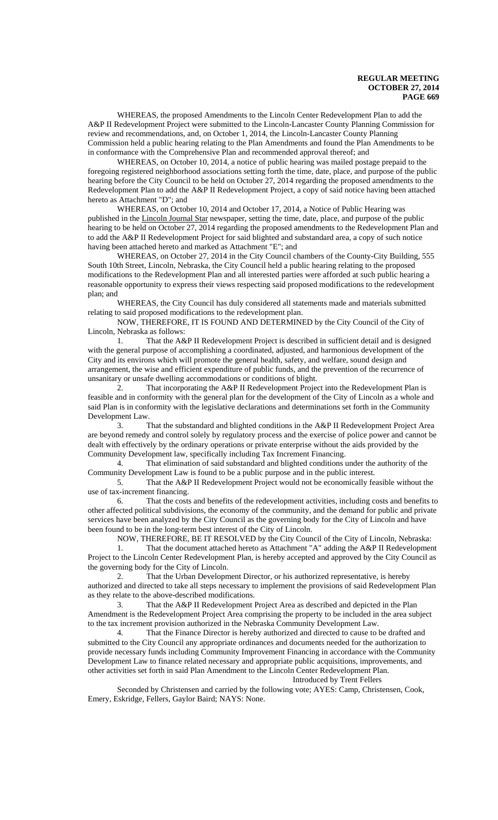WHEREAS, the proposed Amendments to the Lincoln Center Redevelopment Plan to add the A&P II Redevelopment Project were submitted to the Lincoln-Lancaster County Planning Commission for review and recommendations, and, on October 1, 2014, the Lincoln-Lancaster County Planning Commission held a public hearing relating to the Plan Amendments and found the Plan Amendments to be in conformance with the Comprehensive Plan and recommended approval thereof; and

WHEREAS, on October 10, 2014, a notice of public hearing was mailed postage prepaid to the foregoing registered neighborhood associations setting forth the time, date, place, and purpose of the public hearing before the City Council to be held on October 27, 2014 regarding the proposed amendments to the Redevelopment Plan to add the A&P II Redevelopment Project, a copy of said notice having been attached hereto as Attachment "D"; and

WHEREAS, on October 10, 2014 and October 17, 2014, a Notice of Public Hearing was published in the Lincoln Journal Star newspaper, setting the time, date, place, and purpose of the public hearing to be held on October 27, 2014 regarding the proposed amendments to the Redevelopment Plan and to add the A&P II Redevelopment Project for said blighted and substandard area, a copy of such notice having been attached hereto and marked as Attachment "E"; and

WHEREAS, on October 27, 2014 in the City Council chambers of the County-City Building, 555 South 10th Street, Lincoln, Nebraska, the City Council held a public hearing relating to the proposed modifications to the Redevelopment Plan and all interested parties were afforded at such public hearing a reasonable opportunity to express their views respecting said proposed modifications to the redevelopment plan; and

WHEREAS, the City Council has duly considered all statements made and materials submitted relating to said proposed modifications to the redevelopment plan.

NOW, THEREFORE, IT IS FOUND AND DETERMINED by the City Council of the City of Lincoln, Nebraska as follows:

1. That the A&P II Redevelopment Project is described in sufficient detail and is designed with the general purpose of accomplishing a coordinated, adjusted, and harmonious development of the City and its environs which will promote the general health, safety, and welfare, sound design and arrangement, the wise and efficient expenditure of public funds, and the prevention of the recurrence of unsanitary or unsafe dwelling accommodations or conditions of blight.

That incorporating the A&P II Redevelopment Project into the Redevelopment Plan is feasible and in conformity with the general plan for the development of the City of Lincoln as a whole and said Plan is in conformity with the legislative declarations and determinations set forth in the Community Development Law.

3. That the substandard and blighted conditions in the A&P II Redevelopment Project Area are beyond remedy and control solely by regulatory process and the exercise of police power and cannot be dealt with effectively by the ordinary operations or private enterprise without the aids provided by the Community Development law, specifically including Tax Increment Financing.

4. That elimination of said substandard and blighted conditions under the authority of the Community Development Law is found to be a public purpose and in the public interest.

5. That the A&P II Redevelopment Project would not be economically feasible without the use of tax-increment financing.

6. That the costs and benefits of the redevelopment activities, including costs and benefits to other affected political subdivisions, the economy of the community, and the demand for public and private services have been analyzed by the City Council as the governing body for the City of Lincoln and have been found to be in the long-term best interest of the City of Lincoln.

NOW, THEREFORE, BE IT RESOLVED by the City Council of the City of Lincoln, Nebraska:

1. That the document attached hereto as Attachment "A" adding the A&P II Redevelopment Project to the Lincoln Center Redevelopment Plan, is hereby accepted and approved by the City Council as the governing body for the City of Lincoln.

2. That the Urban Development Director, or his authorized representative, is hereby authorized and directed to take all steps necessary to implement the provisions of said Redevelopment Plan as they relate to the above-described modifications.

3. That the A&P II Redevelopment Project Area as described and depicted in the Plan Amendment is the Redevelopment Project Area comprising the property to be included in the area subject to the tax increment provision authorized in the Nebraska Community Development Law.

4. That the Finance Director is hereby authorized and directed to cause to be drafted and submitted to the City Council any appropriate ordinances and documents needed for the authorization to provide necessary funds including Community Improvement Financing in accordance with the Community Development Law to finance related necessary and appropriate public acquisitions, improvements, and other activities set forth in said Plan Amendment to the Lincoln Center Redevelopment Plan. Introduced by Trent Fellers

Seconded by Christensen and carried by the following vote; AYES: Camp, Christensen, Cook, Emery, Eskridge, Fellers, Gaylor Baird; NAYS: None.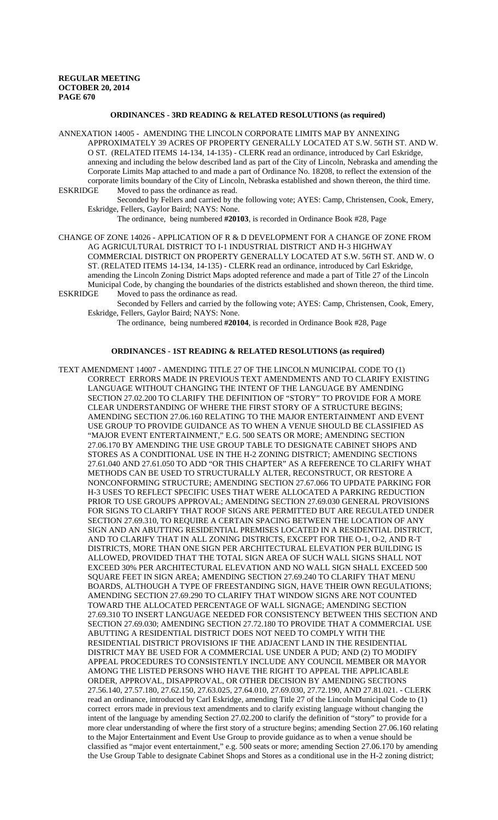### **ORDINANCES - 3RD READING & RELATED RESOLUTIONS (as required)**

ANNEXATION 14005 - AMENDING THE LINCOLN CORPORATE LIMITS MAP BY ANNEXING APPROXIMATELY 39 ACRES OF PROPERTY GENERALLY LOCATED AT S.W. 56TH ST. AND W. O ST. (RELATED ITEMS 14-134, 14-135) - CLERK read an ordinance, introduced by Carl Eskridge, annexing and including the below described land as part of the City of Lincoln, Nebraska and amending the Corporate Limits Map attached to and made a part of Ordinance No. 18208, to reflect the extension of the corporate limits boundary of the City of Lincoln, Nebraska established and shown thereon, the third time. Moved to pass the ordinance as read.

Seconded by Fellers and carried by the following vote; AYES: Camp, Christensen, Cook, Emery, Eskridge, Fellers, Gaylor Baird; NAYS: None.

The ordinance, being numbered **#20103**, is recorded in Ordinance Book #28, Page

CHANGE OF ZONE 14026 - APPLICATION OF R & D DEVELOPMENT FOR A CHANGE OF ZONE FROM AG AGRICULTURAL DISTRICT TO I-1 INDUSTRIAL DISTRICT AND H-3 HIGHWAY COMMERCIAL DISTRICT ON PROPERTY GENERALLY LOCATED AT S.W. 56TH ST. AND W. O ST. (RELATED ITEMS 14-134, 14-135) - CLERK read an ordinance, introduced by Carl Eskridge, amending the Lincoln Zoning District Maps adopted reference and made a part of Title 27 of the Lincoln Municipal Code, by changing the boundaries of the districts established and shown thereon, the third time.<br>ESKRIDGE Moved to pass the ordinance as read. Moved to pass the ordinance as read.

Seconded by Fellers and carried by the following vote; AYES: Camp, Christensen, Cook, Emery, Eskridge, Fellers, Gaylor Baird; NAYS: None.

The ordinance, being numbered **#20104**, is recorded in Ordinance Book #28, Page

#### **ORDINANCES - 1ST READING & RELATED RESOLUTIONS (as required)**

TEXT AMENDMENT 14007 - AMENDING TITLE 27 OF THE LINCOLN MUNICIPAL CODE TO (1) CORRECT ERRORS MADE IN PREVIOUS TEXT AMENDMENTS AND TO CLARIFY EXISTING LANGUAGE WITHOUT CHANGING THE INTENT OF THE LANGUAGE BY AMENDING SECTION 27.02.200 TO CLARIFY THE DEFINITION OF "STORY" TO PROVIDE FOR A MORE CLEAR UNDERSTANDING OF WHERE THE FIRST STORY OF A STRUCTURE BEGINS; AMENDING SECTION 27.06.160 RELATING TO THE MAJOR ENTERTAINMENT AND EVENT USE GROUP TO PROVIDE GUIDANCE AS TO WHEN A VENUE SHOULD BE CLASSIFIED AS "MAJOR EVENT ENTERTAINMENT," E.G. 500 SEATS OR MORE; AMENDING SECTION 27.06.170 BY AMENDING THE USE GROUP TABLE TO DESIGNATE CABINET SHOPS AND STORES AS A CONDITIONAL USE IN THE H-2 ZONING DISTRICT; AMENDING SECTIONS 27.61.040 AND 27.61.050 TO ADD "OR THIS CHAPTER" AS A REFERENCE TO CLARIFY WHAT METHODS CAN BE USED TO STRUCTURALLY ALTER, RECONSTRUCT, OR RESTORE A NONCONFORMING STRUCTURE; AMENDING SECTION 27.67.066 TO UPDATE PARKING FOR H-3 USES TO REFLECT SPECIFIC USES THAT WERE ALLOCATED A PARKING REDUCTION PRIOR TO USE GROUPS APPROVAL; AMENDING SECTION 27.69.030 GENERAL PROVISIONS FOR SIGNS TO CLARIFY THAT ROOF SIGNS ARE PERMITTED BUT ARE REGULATED UNDER SECTION 27.69.310, TO REQUIRE A CERTAIN SPACING BETWEEN THE LOCATION OF ANY SIGN AND AN ABUTTING RESIDENTIAL PREMISES LOCATED IN A RESIDENTIAL DISTRICT, AND TO CLARIFY THAT IN ALL ZONING DISTRICTS, EXCEPT FOR THE O-1, O-2, AND R-T DISTRICTS, MORE THAN ONE SIGN PER ARCHITECTURAL ELEVATION PER BUILDING IS ALLOWED, PROVIDED THAT THE TOTAL SIGN AREA OF SUCH WALL SIGNS SHALL NOT EXCEED 30% PER ARCHITECTURAL ELEVATION AND NO WALL SIGN SHALL EXCEED 500 SQUARE FEET IN SIGN AREA; AMENDING SECTION 27.69.240 TO CLARIFY THAT MENU BOARDS, ALTHOUGH A TYPE OF FREESTANDING SIGN, HAVE THEIR OWN REGULATIONS; AMENDING SECTION 27.69.290 TO CLARIFY THAT WINDOW SIGNS ARE NOT COUNTED TOWARD THE ALLOCATED PERCENTAGE OF WALL SIGNAGE; AMENDING SECTION 27.69.310 TO INSERT LANGUAGE NEEDED FOR CONSISTENCY BETWEEN THIS SECTION AND SECTION 27.69.030; AMENDING SECTION 27.72.180 TO PROVIDE THAT A COMMERCIAL USE ABUTTING A RESIDENTIAL DISTRICT DOES NOT NEED TO COMPLY WITH THE RESIDENTIAL DISTRICT PROVISIONS IF THE ADJACENT LAND IN THE RESIDENTIAL DISTRICT MAY BE USED FOR A COMMERCIAL USE UNDER A PUD; AND (2) TO MODIFY APPEAL PROCEDURES TO CONSISTENTLY INCLUDE ANY COUNCIL MEMBER OR MAYOR AMONG THE LISTED PERSONS WHO HAVE THE RIGHT TO APPEAL THE APPLICABLE ORDER, APPROVAL, DISAPPROVAL, OR OTHER DECISION BY AMENDING SECTIONS 27.56.140, 27.57.180, 27.62.150, 27.63.025, 27.64.010, 27.69.030, 27.72.190, AND 27.81.021. - CLERK read an ordinance, introduced by Carl Eskridge, amending Title 27 of the Lincoln Municipal Code to (1) correct errors made in previous text amendments and to clarify existing language without changing the intent of the language by amending Section 27.02.200 to clarify the definition of "story" to provide for a more clear understanding of where the first story of a structure begins; amending Section 27.06.160 relating to the Major Entertainment and Event Use Group to provide guidance as to when a venue should be classified as "major event entertainment," e.g. 500 seats or more; amending Section 27.06.170 by amending the Use Group Table to designate Cabinet Shops and Stores as a conditional use in the H-2 zoning district;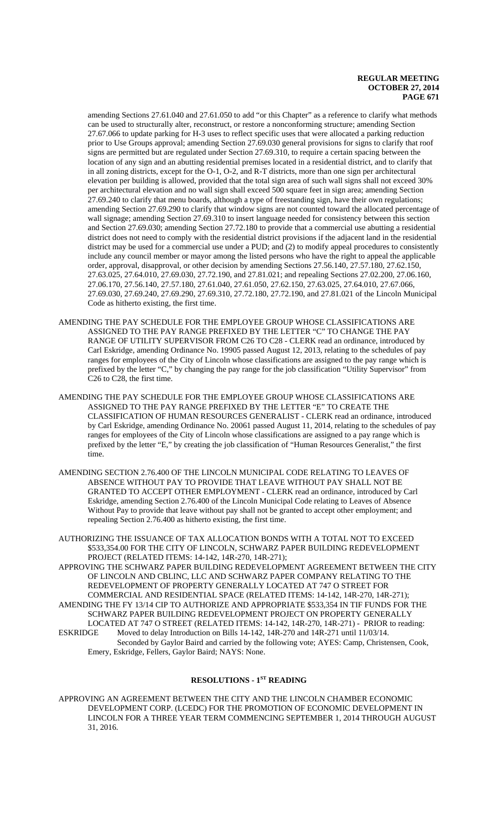amending Sections 27.61.040 and 27.61.050 to add "or this Chapter" as a reference to clarify what methods can be used to structurally alter, reconstruct, or restore a nonconforming structure; amending Section 27.67.066 to update parking for H-3 uses to reflect specific uses that were allocated a parking reduction prior to Use Groups approval; amending Section 27.69.030 general provisions for signs to clarify that roof signs are permitted but are regulated under Section 27.69.310, to require a certain spacing between the location of any sign and an abutting residential premises located in a residential district, and to clarify that in all zoning districts, except for the O-1, O-2, and R-T districts, more than one sign per architectural elevation per building is allowed, provided that the total sign area of such wall signs shall not exceed 30% per architectural elevation and no wall sign shall exceed 500 square feet in sign area; amending Section 27.69.240 to clarify that menu boards, although a type of freestanding sign, have their own regulations; amending Section 27.69.290 to clarify that window signs are not counted toward the allocated percentage of wall signage; amending Section 27.69.310 to insert language needed for consistency between this section and Section 27.69.030; amending Section 27.72.180 to provide that a commercial use abutting a residential district does not need to comply with the residential district provisions if the adjacent land in the residential district may be used for a commercial use under a PUD; and (2) to modify appeal procedures to consistently include any council member or mayor among the listed persons who have the right to appeal the applicable order, approval, disapproval, or other decision by amending Sections 27.56.140, 27.57.180, 27.62.150, 27.63.025, 27.64.010, 27.69.030, 27.72.190, and 27.81.021; and repealing Sections 27.02.200, 27.06.160, 27.06.170, 27.56.140, 27.57.180, 27.61.040, 27.61.050, 27.62.150, 27.63.025, 27.64.010, 27.67.066, 27.69.030, 27.69.240, 27.69.290, 27.69.310, 27.72.180, 27.72.190, and 27.81.021 of the Lincoln Municipal Code as hitherto existing, the first time.

- AMENDING THE PAY SCHEDULE FOR THE EMPLOYEE GROUP WHOSE CLASSIFICATIONS ARE ASSIGNED TO THE PAY RANGE PREFIXED BY THE LETTER "C" TO CHANGE THE PAY RANGE OF UTILITY SUPERVISOR FROM C26 TO C28 - CLERK read an ordinance, introduced by Carl Eskridge, amending Ordinance No. 19905 passed August 12, 2013, relating to the schedules of pay ranges for employees of the City of Lincoln whose classifications are assigned to the pay range which is prefixed by the letter "C," by changing the pay range for the job classification "Utility Supervisor" from C26 to C28, the first time.
- AMENDING THE PAY SCHEDULE FOR THE EMPLOYEE GROUP WHOSE CLASSIFICATIONS ARE ASSIGNED TO THE PAY RANGE PREFIXED BY THE LETTER "E" TO CREATE THE CLASSIFICATION OF HUMAN RESOURCES GENERALIST - CLERK read an ordinance, introduced by Carl Eskridge, amending Ordinance No. 20061 passed August 11, 2014, relating to the schedules of pay ranges for employees of the City of Lincoln whose classifications are assigned to a pay range which is prefixed by the letter "E," by creating the job classification of "Human Resources Generalist," the first time.
- AMENDING SECTION 2.76.400 OF THE LINCOLN MUNICIPAL CODE RELATING TO LEAVES OF ABSENCE WITHOUT PAY TO PROVIDE THAT LEAVE WITHOUT PAY SHALL NOT BE GRANTED TO ACCEPT OTHER EMPLOYMENT - CLERK read an ordinance, introduced by Carl Eskridge, amending Section 2.76.400 of the Lincoln Municipal Code relating to Leaves of Absence Without Pay to provide that leave without pay shall not be granted to accept other employment; and repealing Section 2.76.400 as hitherto existing, the first time.
- AUTHORIZING THE ISSUANCE OF TAX ALLOCATION BONDS WITH A TOTAL NOT TO EXCEED \$533,354.00 FOR THE CITY OF LINCOLN, SCHWARZ PAPER BUILDING REDEVELOPMENT PROJECT (RELATED ITEMS: 14-142, 14R-270, 14R-271);

APPROVING THE SCHWARZ PAPER BUILDING REDEVELOPMENT AGREEMENT BETWEEN THE CITY OF LINCOLN AND CBLINC, LLC AND SCHWARZ PAPER COMPANY RELATING TO THE REDEVELOPMENT OF PROPERTY GENERALLY LOCATED AT 747 O STREET FOR COMMERCIAL AND RESIDENTIAL SPACE (RELATED ITEMS: 14-142, 14R-270, 14R-271); AMENDING THE FY 13/14 CIP TO AUTHORIZE AND APPROPRIATE \$533,354 IN TIF FUNDS FOR THE SCHWARZ PAPER BUILDING REDEVELOPMENT PROJECT ON PROPERTY GENERALLY LOCATED AT 747 O STREET (RELATED ITEMS: 14-142, 14R-270, 14R-271) - PRIOR to reading:<br>ESKRIDGE Moved to delay Introduction on Bills 14-142, 14R-270 and 14R-271 until 11/03/14. Moved to delay Introduction on Bills 14-142, 14R-270 and 14R-271 until 11/03/14. Seconded by Gaylor Baird and carried by the following vote; AYES: Camp, Christensen, Cook, Emery, Eskridge, Fellers, Gaylor Baird; NAYS: None.

# **RESOLUTIONS - 1ST READING**

APPROVING AN AGREEMENT BETWEEN THE CITY AND THE LINCOLN CHAMBER ECONOMIC DEVELOPMENT CORP. (LCEDC) FOR THE PROMOTION OF ECONOMIC DEVELOPMENT IN LINCOLN FOR A THREE YEAR TERM COMMENCING SEPTEMBER 1, 2014 THROUGH AUGUST 31, 2016.